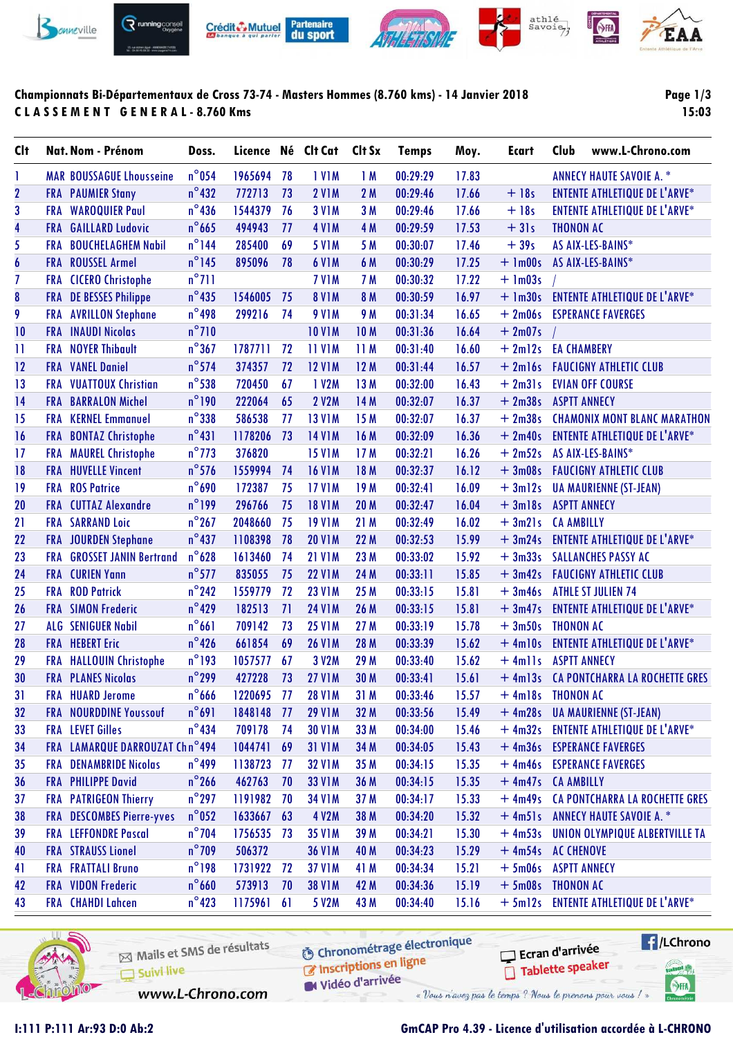

## **Championnats Bi-Départementaux de Cross 73-74 - Masters Hommes (8.760 kms) - 14 Janvier 2018 C L A S S E M E N T G E N E R A L - 8.760 Kms**

**Page 1/3 15:03**

| <b>C</b> It             |            | Nat. Nom - Prénom               | Doss.           |            |    | Licence Né Clt Cat | Clt Sx          | <b>Temps</b> | Moy.  | <b>Ecart</b>       | Club                | www.L-Chrono.com                       |
|-------------------------|------------|---------------------------------|-----------------|------------|----|--------------------|-----------------|--------------|-------|--------------------|---------------------|----------------------------------------|
| 1                       |            | <b>MAR BOUSSAGUE Lhousseine</b> | $n^{\circ}$ 054 | 1965694    | 78 | <b>IVIM</b>        | 1M              | 00:29:29     | 17.83 |                    |                     | <b>ANNECY HAUTE SAVOIE A. *</b>        |
| $\overline{\mathbf{2}}$ |            | <b>FRA</b> PAUMIER Stany        | $n^{\circ}$ 432 | 772713     | 73 | <b>2 V1M</b>       | 2M              | 00:29:46     | 17.66 | $+18s$             |                     | <b>ENTENTE ATHLETIQUE DE L'ARVE*</b>   |
| 3                       |            | <b>FRA WAROQUIER Paul</b>       | $n^{\circ}$ 436 | 1544379    | 76 | <b>3 V1M</b>       | 3 M             | 00:29:46     | 17.66 | $+18s$             |                     | <b>ENTENTE ATHLETIQUE DE L'ARVE*</b>   |
| 4                       | <b>FRA</b> | <b>GAILLARD Ludovic</b>         | $n^{\circ}$ 665 | 494943     | 77 | <b>4 V1M</b>       | 4 M             | 00:29:59     | 17.53 | $+31s$             | <b>THONON AC</b>    |                                        |
| 5                       | <b>FRA</b> | <b>BOUCHELAGHEM Nabil</b>       | $n^{\circ}$ 144 | 285400     | 69 | <b>5 V1M</b>       | 5 M             | 00:30:07     | 17.46 | $+39s$             |                     | AS AIX-LES-BAINS*                      |
| $\boldsymbol{6}$        |            | FRA ROUSSEL Armel               | $n^{\circ}$ 145 | 895096     | 78 | <b>6 V1M</b>       | 6 M             | 00:30:29     | 17.25 | $+$ 1m00s          |                     | AS AIX-LES-BAINS*                      |
| 7                       |            | FRA CICERO Christophe           | $n^{\circ}$ 711 |            |    | 7 V <sub>1</sub> M | 7 M             | 00:30:32     | 17.22 | $+ 1m03s$          |                     |                                        |
| 8                       |            | <b>FRA</b> DE BESSES Philippe   | $n^{\circ}$ 435 | 1546005    | 75 | <b>8 V1M</b>       | 8 M             | 00:30:59     | 16.97 |                    |                     | + 1m30s ENTENTE ATHLETIQUE DE L'ARVE*  |
| 9                       | <b>FRA</b> | <b>AVRILLON Stephane</b>        | $n^{\circ}$ 498 | 299216     | 74 | <b>9 V1M</b>       | 9 M             | 00:31:34     | 16.65 | $+2m06s$           |                     | <b>ESPERANCE FAVERGES</b>              |
| 10                      | <b>FRA</b> | <b>INAUDI Nicolas</b>           | $n^{\circ}$ 710 |            |    | <b>10 V1M</b>      | <b>10M</b>      | 00:31:36     | 16.64 | $+2m07s$           |                     |                                        |
| $\mathbf{1}$            |            | <b>FRA</b> NOYER Thibault       | $n^{\circ}367$  | 1787711    | 72 | <b>11 V1M</b>      | 11M             | 00:31:40     | 16.60 | $+2ml2s$           | <b>EA CHAMBERY</b>  |                                        |
| 12                      |            | <b>FRA</b> VANEL Daniel         | $n^{\circ}$ 574 | 374357     | 72 | <b>12 V1M</b>      | 12 M            | 00:31:44     | 16.57 |                    |                     | + 2m16s FAUCIGNY ATHLETIC CLUB         |
| 13                      | FRA        | <b>VUATTOUX Christian</b>       | $n^{\circ}$ 538 | 720450     | 67 | 1 V2M              | 13 M            | 00:32:00     | 16.43 | $+2m31s$           |                     | <b>EVIAN OFF COURSE</b>                |
| 14                      |            | <b>FRA BARRALON Michel</b>      | $n^{\circ}$ 190 | 222064     | 65 | <b>2 V2M</b>       | 14 M            | 00:32:07     | 16.37 | $+2m38s$           | <b>ASPTT ANNECY</b> |                                        |
| 15                      |            | <b>FRA</b> KERNEL Emmanuel      | $n^{\circ}$ 338 | 586538     | 77 | <b>13 V1M</b>      | 15 M            | 00:32:07     | 16.37 | $+2m38s$           |                     | <b>CHAMONIX MONT BLANC MARATHON</b>    |
| 16                      | <b>FRA</b> | <b>BONTAZ Christophe</b>        | $n^{\circ}431$  | 1178206    | 73 | <b>14 V1M</b>      | 16 M            | 00:32:09     | 16.36 | $+2m40s$           |                     | <b>ENTENTE ATHLETIQUE DE L'ARVE*</b>   |
| 17                      |            | FRA MAUREL Christophe           | $n^{\circ}$ 773 | 376820     |    | <b>15 V1M</b>      | 17M             | 00:32:21     | 16.26 | $+2m52s$           |                     | AS AIX-LES-BAINS*                      |
| 18                      |            | <b>FRA HUVELLE Vincent</b>      | $n^{\circ}$ 576 | 1559994    | 74 | <b>16 V1M</b>      | 18 M            | 00:32:37     | 16.12 | $+3m08s$           |                     | <b>FAUCIGNY ATHLETIC CLUB</b>          |
| 19                      | <b>FRA</b> | <b>ROS Patrice</b>              | $n^{\circ}$ 690 | 172387     | 75 | <b>17 V1M</b>      | 19 <sub>M</sub> | 00:32:41     | 16.09 | $+3ml2s$           |                     | <b>UA MAURIENNE (ST-JEAN)</b>          |
| 20                      |            | <b>FRA</b> CUTTAZ Alexandre     | $n^{\circ}$ 199 | 296766     | 75 | <b>18 V1M</b>      | <b>20 M</b>     | 00:32:47     | 16.04 | $+3$ ml $8s$       | <b>ASPTT ANNECY</b> |                                        |
| 21                      |            | <b>FRA SARRAND Loic</b>         | $n^{\circ}267$  | 2048660    | 75 | <b>19 V1M</b>      | 21 M            | 00:32:49     | 16.02 | $+3m21s$           | <b>CA AMBILLY</b>   |                                        |
| 22                      | <b>FRA</b> | <b>JOURDEN Stephane</b>         | $n^{\circ}437$  | 1108398    | 78 | <b>20 V1M</b>      | 22 M            | 00:32:53     | 15.99 | $+3m24s$           |                     | <b>ENTENTE ATHLETIQUE DE L'ARVE*</b>   |
| 23                      | <b>FRA</b> | <b>GROSSET JANIN Bertrand</b>   | $n^{\circ}$ 628 | 1613460    | 74 | <b>21 V1M</b>      | 23 M            | 00:33:02     | 15.92 | $+3m33s$           |                     | <b>SALLANCHES PASSY AC</b>             |
| 24                      |            | <b>FRA</b> CURIEN Yann          | $n^{\circ}$ 577 | 835055     | 75 | <b>22 V1M</b>      | 24 M            | 00:33:11     | 15.85 | $+3m42s$           |                     | <b>FAUCIGNY ATHLETIC CLUB</b>          |
| 25                      | <b>FRA</b> | <b>ROD Patrick</b>              | $n^{\circ}$ 242 | 1559779    | 72 | <b>23 V1M</b>      | 25 M            | 00:33:15     | 15.81 | $+3m46s$           |                     | <b>ATHLE ST JULIEN 74</b>              |
| 26                      |            | <b>FRA</b> SIMON Frederic       | $n^{\circ}429$  | 182513     | 71 | <b>24 V1M</b>      | 26 M            | 00:33:15     | 15.81 | $+3m47s$           |                     | <b>ENTENTE ATHLETIQUE DE L'ARVE*</b>   |
| 27                      |            | <b>ALG SENIGUER Nabil</b>       | $n^{\circ}661$  | 709142     | 73 | <b>25 V1M</b>      | 27 M            | 00:33:19     | 15.78 | $+3m50s$           | <b>THONON AC</b>    |                                        |
| 28                      |            | <b>FRA HEBERT Eric</b>          | $n^{\circ}$ 426 | 661854     | 69 | <b>26 V1M</b>      | 28 M            | 00:33:39     | 15.62 | $+4ml0s$           |                     | <b>ENTENTE ATHLETIQUE DE L'ARVE*</b>   |
| 29                      |            | FRA HALLOUIN Christophe         | $n^{\circ}$ 193 | 1057577    | 67 | 3 V2M              | 29 M            | 00:33:40     | 15.62 | $+$ 4mlls          | <b>ASPTT ANNECY</b> |                                        |
| 30                      |            | <b>FRA PLANES Nicolas</b>       | $n^{\circ}$ 299 | 427228     | 73 | <b>27 V1M</b>      | 30 M            | 00:33:41     | 15.61 |                    |                     | + 4m13s CA PONTCHARRA LA ROCHETTE GRES |
| 31                      |            | <b>FRA HUARD Jerome</b>         | $n^{\circ}$ 666 | 1220695 77 |    | <b>28 V1M</b>      | 31 M            | 00:33:46     | 15.57 | +4m18s THONON AC   |                     |                                        |
| 32                      |            | FRA NOURDDINE Youssouf          | $n^{\circ}691$  | 1848148    | 77 | <b>29 V1M</b>      | 32 M            | 00:33:56     | 15.49 |                    |                     | + 4m28s UA MAURIENNE (ST-JEAN)         |
| 33                      |            | <b>FRA</b> LEVET Gilles         | $n^{\circ}$ 434 | 709178     | 74 | <b>30 V1M</b>      | 33 M            | 00:34:00     | 15.46 |                    |                     | + 4m32s ENTENTE ATHLETIQUE DE L'ARVE*  |
| 34                      |            | FRA LAMARQUE DARROUZAT Chn°494  |                 | 1044741 69 |    | <b>31 V1M</b>      | 34 M            | 00:34:05     | 15.43 |                    |                     | + 4m36s ESPERANCE FAVERGES             |
| 35                      |            | <b>FRA</b> DENAMBRIDE Nicolas   | $n^{\circ}$ 499 | 1138723    | 77 | <b>32 V1M</b>      | 35 M            | 00:34:15     | 15.35 |                    |                     | + 4m46s ESPERANCE FAVERGES             |
| 36                      |            | <b>FRA</b> PHILIPPE David       | $n^{\circ}$ 266 | 462763     | 70 | <b>33 V1M</b>      | 36 M            | 00:34:15     | 15.35 | + 4m47s CA AMBILLY |                     |                                        |
| 37                      |            | <b>FRA PATRIGEON Thierry</b>    | $n^{\circ}$ 297 | 1191982 70 |    | <b>34 V1M</b>      | 37 M            | 00:34:17     | 15.33 |                    |                     | + 4m49s CA PONTCHARRA LA ROCHETTE GRES |
| 38                      |            | FRA DESCOMBES Pierre-yves       | $n^{\circ}$ 052 | 1633667 63 |    | 4 V2M              | 38 M            | 00:34:20     | 15.32 |                    |                     | + 4m51s ANNECY HAUTE SAVOIE A. *       |
| 39                      |            | <b>FRA</b> LEFFONDRE Pascal     | $n^{\circ}$ 704 | 1756535 73 |    | 35 V1M             | 39 M            | 00:34:21     | 15.30 |                    |                     | + 4m53s UNION OLYMPIQUE ALBERTVILLE TA |
| 40                      |            | <b>FRA STRAUSS Lionel</b>       | $n^{\circ}$ 709 | 506372     |    | <b>36 V1M</b>      | 40 M            | 00:34:23     | 15.29 | + 4m54s AC CHENOVE |                     |                                        |
| 41                      |            | <b>FRA FRATTALI Bruno</b>       | $n^{\circ}$ 198 | 1731922    | 72 | <b>37 V1M</b>      | 41 M            | 00:34:34     | 15.21 | $+5m06s$           | <b>ASPTT ANNECY</b> |                                        |
| 42                      |            | FRA VIDON Frederic              | $n^{\circ}$ 660 | 573913     | 70 | <b>38 V1M</b>      | 42 M            | 00:34:36     | 15.19 | + 5m08s THONON AC  |                     |                                        |
| 43                      |            | <b>FRA</b> CHAHDI Lahcen        | $n^{\circ}$ 423 | 1175961 61 |    | 5 V2M              | 43 M            | 00:34:40     | 15.16 |                    |                     | + 5m12s ENTENTE ATHLETIQUE DE L'ARVE*  |
|                         |            |                                 |                 |            |    |                    |                 |              |       |                    |                     |                                        |



Mails et SMS de résultats Suivi live

**6** Chronométrage électronique Chronomedage

**Exercise** Ecran d'arrivée Tablette speaker tabel<sup>1</sup>

SHA

W Vidéo d'arrivée « Vous n'avez pas le temps ? Nous le prenons pour vous !

www.L-Chrono.com

## **I:111 P:111 Ar:93 D:0 Ab:2 GmCAP Pro 4.39 - Licence d'utilisation accordée à L-CHRONO**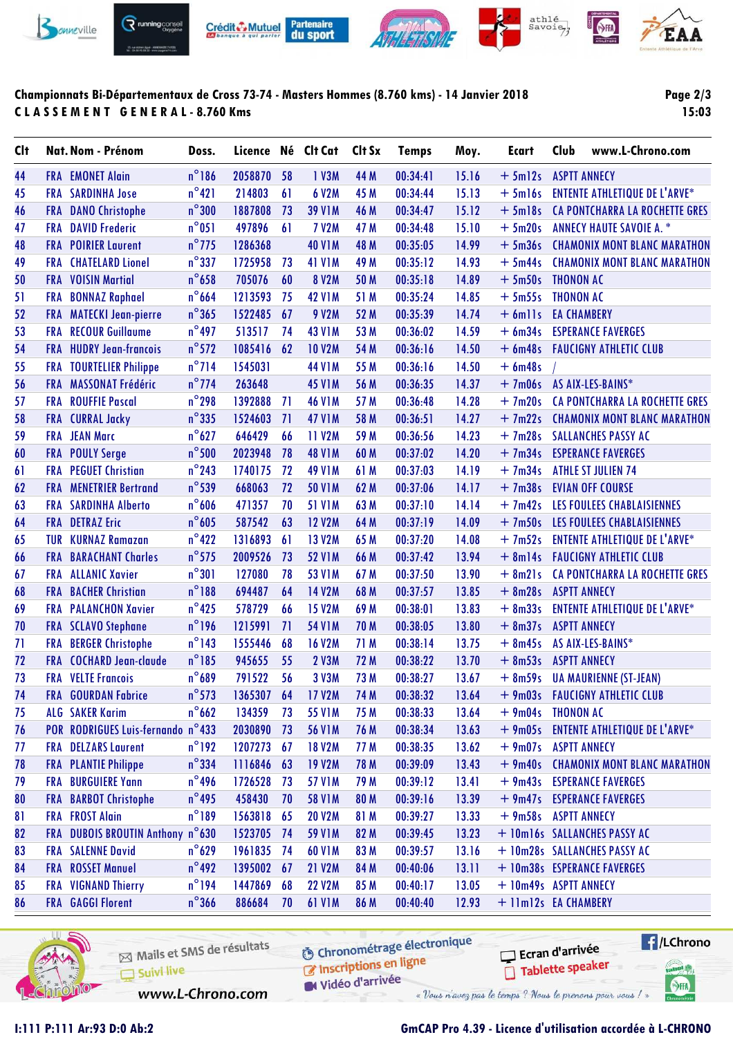

## **Championnats Bi-Départementaux de Cross 73-74 - Masters Hommes (8.760 kms) - 14 Janvier 2018 C L A S S E M E N T G E N E R A L - 8.760 Kms**

**Page 2/3 15:03**

| $n^{\circ}$ 186<br>2058870<br>1 V3M<br>+ 5m12s ASPTT ANNECY<br>44<br><b>FRA</b> EMONET Alain<br>58<br>44 M<br>00:34:41<br>15.16<br>$n^{\circ}421$<br><b>SARDINHA Jose</b><br>214803<br>61<br>6 V2M<br>45 M<br>00:34:44<br>15.13<br><b>ENTENTE ATHLETIQUE DE L'ARVE*</b><br>45<br>FRA<br>$+ 5$ ml6s<br>$n^{\circ}300$<br>CA PONTCHARRA LA ROCHETTE GRES<br>1887808<br><b>39 V1M</b><br>46 M<br>00:34:47<br>15.12<br>$+5$ ml8s<br>46<br><b>FRA</b><br><b>DANO Christophe</b><br>73<br>$n^{\circ}051$<br>497896<br>47<br><b>FRA</b><br><b>DAVID Frederic</b><br>61<br><b>7 V2M</b><br>47 M<br>00:34:48<br>15.10<br>$+5m20s$<br><b>ANNECY HAUTE SAVOIE A. *</b><br>$n^{\circ}$ 775<br>48<br><b>FRA</b> POIRIER Laurent<br>1286368<br><b>40 V1M</b><br>48 M<br>00:35:05<br>14.99<br>$+5m36s$<br><b>CHAMONIX MONT BLANC MARATHON</b><br>$n^{\circ}$ 337<br><b>CHATELARD Lionel</b><br>1725958<br>73<br><b>41 V1M</b><br>49 M<br>00:35:12<br>14.93<br>$+5m44s$<br><b>CHAMONIX MONT BLANC MARATHON</b><br>49<br><b>FRA</b> |  |
|--------------------------------------------------------------------------------------------------------------------------------------------------------------------------------------------------------------------------------------------------------------------------------------------------------------------------------------------------------------------------------------------------------------------------------------------------------------------------------------------------------------------------------------------------------------------------------------------------------------------------------------------------------------------------------------------------------------------------------------------------------------------------------------------------------------------------------------------------------------------------------------------------------------------------------------------------------------------------------------------------------------------|--|
|                                                                                                                                                                                                                                                                                                                                                                                                                                                                                                                                                                                                                                                                                                                                                                                                                                                                                                                                                                                                                    |  |
|                                                                                                                                                                                                                                                                                                                                                                                                                                                                                                                                                                                                                                                                                                                                                                                                                                                                                                                                                                                                                    |  |
|                                                                                                                                                                                                                                                                                                                                                                                                                                                                                                                                                                                                                                                                                                                                                                                                                                                                                                                                                                                                                    |  |
|                                                                                                                                                                                                                                                                                                                                                                                                                                                                                                                                                                                                                                                                                                                                                                                                                                                                                                                                                                                                                    |  |
|                                                                                                                                                                                                                                                                                                                                                                                                                                                                                                                                                                                                                                                                                                                                                                                                                                                                                                                                                                                                                    |  |
|                                                                                                                                                                                                                                                                                                                                                                                                                                                                                                                                                                                                                                                                                                                                                                                                                                                                                                                                                                                                                    |  |
| $n^{\circ}$ 658<br>705076<br>60<br><b>8 V2M</b><br>00:35:18<br>14.89<br>$+5m50s$<br>50<br><b>FRA</b> VOISIN Martial<br>50 M<br><b>THONON AC</b>                                                                                                                                                                                                                                                                                                                                                                                                                                                                                                                                                                                                                                                                                                                                                                                                                                                                    |  |
| $n^{\circ}$ 664<br><b>BONNAZ Raphael</b><br>1213593<br>75<br><b>42 V1M</b><br>51 M<br>00:35:24<br>14.85<br>$+5m55s$<br><b>THONON AC</b><br>51<br><b>FRA</b>                                                                                                                                                                                                                                                                                                                                                                                                                                                                                                                                                                                                                                                                                                                                                                                                                                                        |  |
| $n^{\circ}365$<br>1522485<br><b>9 V2M</b><br>52<br><b>MATECKI Jean-pierre</b><br>67<br>52 M<br>00:35:39<br>14.74<br>$+ 6$ mlls<br><b>EA CHAMBERY</b><br><b>FRA</b>                                                                                                                                                                                                                                                                                                                                                                                                                                                                                                                                                                                                                                                                                                                                                                                                                                                 |  |
| $n^{\circ}$ 497<br>53<br><b>RECOUR Guillaume</b><br>513517<br>74<br><b>43 V1M</b><br>53 M<br>00:36:02<br>14.59<br>$+ 6m34s$<br><b>ESPERANCE FAVERGES</b><br><b>FRA</b>                                                                                                                                                                                                                                                                                                                                                                                                                                                                                                                                                                                                                                                                                                                                                                                                                                             |  |
| $n^{\circ}$ 572<br>1085416<br>62<br>54<br><b>FRA HUDRY Jean-francois</b><br><b>10 V2M</b><br>54 M<br>00:36:16<br>14.50<br>+ 6m48s  FAUCIGNY ATHLETIC CLUB                                                                                                                                                                                                                                                                                                                                                                                                                                                                                                                                                                                                                                                                                                                                                                                                                                                          |  |
| $n^{\circ}$ 714<br>1545031<br>14.50<br>$+6$ m48s<br>55<br><b>TOURTELIER Philippe</b><br><b>44 V1M</b><br>55 M<br>00:36:16<br><b>FRA</b>                                                                                                                                                                                                                                                                                                                                                                                                                                                                                                                                                                                                                                                                                                                                                                                                                                                                            |  |
| $n^{\circ}$ 774<br>FRA MASSONAT Frédéric<br>263648<br>56 M<br>00:36:35<br>14.37<br>+ 7m06s AS AIX-LES-BAINS*<br>56<br><b>45 V1M</b>                                                                                                                                                                                                                                                                                                                                                                                                                                                                                                                                                                                                                                                                                                                                                                                                                                                                                |  |
| $n^{\circ}$ 298<br>57<br><b>ROUFFIE Pascal</b><br>1392888<br>71<br>57 M<br>00:36:48<br>14.28<br>$+7m20s$<br>CA PONTCHARRA LA ROCHETTE GRES<br><b>FRA</b><br><b>46 V1M</b>                                                                                                                                                                                                                                                                                                                                                                                                                                                                                                                                                                                                                                                                                                                                                                                                                                          |  |
| $n^{\circ}335$<br>1524603<br><b>47 V1M</b><br>00:36:51<br>14.27<br>$+7m22s$<br><b>CHAMONIX MONT BLANC MARATHON</b><br>58<br><b>FRA</b><br><b>CURRAL Jacky</b><br>71<br>58 M                                                                                                                                                                                                                                                                                                                                                                                                                                                                                                                                                                                                                                                                                                                                                                                                                                        |  |
| $n^{\circ}627$<br>59<br><b>JEAN Marc</b><br>646429<br>66<br>11 V2M<br>59 M<br>00:36:56<br>14.23<br>$+7m28s$<br><b>SALLANCHES PASSY AC</b><br>FRA                                                                                                                                                                                                                                                                                                                                                                                                                                                                                                                                                                                                                                                                                                                                                                                                                                                                   |  |
| $n^{\circ}$ 500<br><b>FRA POULY Serge</b><br>2023948<br>78<br><b>48 V1M</b><br>60 M<br>00:37:02<br>14.20<br>$+7m34s$<br><b>ESPERANCE FAVERGES</b><br>60                                                                                                                                                                                                                                                                                                                                                                                                                                                                                                                                                                                                                                                                                                                                                                                                                                                            |  |
| $n^{\circ}$ 243<br><b>PEGUET Christian</b><br>14.19<br>$+7m34s$<br>1740175<br>72<br><b>49 V1M</b><br>61 M<br>00:37:03<br><b>ATHLE ST JULIEN 74</b><br>61<br><b>FRA</b>                                                                                                                                                                                                                                                                                                                                                                                                                                                                                                                                                                                                                                                                                                                                                                                                                                             |  |
| $n^{\circ}$ 539<br>668063<br>72<br><b>50 V1M</b><br>62 M<br>00:37:06<br>14.17<br>$+7m38s$<br><b>EVIAN OFF COURSE</b><br>62<br><b>FRA</b><br><b>MENETRIER Bertrand</b>                                                                                                                                                                                                                                                                                                                                                                                                                                                                                                                                                                                                                                                                                                                                                                                                                                              |  |
| $n^{\circ}606$<br>$+7m42s$<br>63<br><b>SARDINHA Alberto</b><br>471357<br>70<br><b>51 V1M</b><br>63 M<br>00:37:10<br>14.14<br>LES FOULEES CHABLAISIENNES<br>FRA                                                                                                                                                                                                                                                                                                                                                                                                                                                                                                                                                                                                                                                                                                                                                                                                                                                     |  |
| $n^{\circ}605$<br><b>DETRAZ Eric</b><br>587542<br>63<br><b>12 V2M</b><br>00:37:19<br>14.09<br>$+7m50s$<br>LES FOULEES CHABLAISIENNES<br>64<br><b>FRA</b><br>64 M                                                                                                                                                                                                                                                                                                                                                                                                                                                                                                                                                                                                                                                                                                                                                                                                                                                   |  |
| $n^{\circ}422$<br><b>KURNAZ Ramazan</b><br>1316893<br>61<br><b>13 V2M</b><br>65 M<br>00:37:20<br>14.08<br>$+7m52s$<br><b>ENTENTE ATHLETIQUE DE L'ARVE*</b><br>65<br>TUR                                                                                                                                                                                                                                                                                                                                                                                                                                                                                                                                                                                                                                                                                                                                                                                                                                            |  |
| $n^{\circ}$ 575<br><b>FAUCIGNY ATHLETIC CLUB</b><br><b>BARACHANT Charles</b><br>2009526<br>73<br><b>52 V1M</b><br>00:37:42<br>13.94<br>$+8m14s$<br>66 M<br>66<br>FRA                                                                                                                                                                                                                                                                                                                                                                                                                                                                                                                                                                                                                                                                                                                                                                                                                                               |  |
| $n^{\circ}301$<br>13.90<br><b>ALLANIC Xavier</b><br>127080<br>78<br>53 V1M<br>67 M<br>00:37:50<br>$+8m21s$<br>CA PONTCHARRA LA ROCHETTE GRES<br>67<br><b>FRA</b>                                                                                                                                                                                                                                                                                                                                                                                                                                                                                                                                                                                                                                                                                                                                                                                                                                                   |  |
| $n^{\circ}188$<br>$+8m28s$<br><b>BACHER Christian</b><br>694487<br>64<br>14 V2M<br>68 M<br>00:37:57<br>13.85<br><b>ASPTT ANNECY</b><br>68<br><b>FRA</b>                                                                                                                                                                                                                                                                                                                                                                                                                                                                                                                                                                                                                                                                                                                                                                                                                                                            |  |
| $n^{\circ}$ 425<br>69<br><b>PALANCHON Xavier</b><br>578729<br>66<br><b>15 V2M</b><br>69 M<br>00:38:01<br>13.83<br>$+8m33s$<br><b>ENTENTE ATHLETIQUE DE L'ARVE*</b><br>FRA                                                                                                                                                                                                                                                                                                                                                                                                                                                                                                                                                                                                                                                                                                                                                                                                                                          |  |
| $n^{\circ}$ 196<br><b>FRA SCLAVO Stephane</b><br>1215991<br>71<br><b>54 V1M</b><br>00:38:05<br>13.80<br>$+8m37s$<br><b>ASPTT ANNECY</b><br>70<br>70 M                                                                                                                                                                                                                                                                                                                                                                                                                                                                                                                                                                                                                                                                                                                                                                                                                                                              |  |
| $n^{\circ}$ 143<br><b>BERGER Christophe</b><br>1555446<br><b>16 V2M</b><br>71 M<br>00:38:14<br>13.75<br>$+ 8m45s$<br>71<br><b>FRA</b><br>68<br>AS AIX-LES-BAINS*                                                                                                                                                                                                                                                                                                                                                                                                                                                                                                                                                                                                                                                                                                                                                                                                                                                   |  |
| $n^{\circ}185$<br><b>COCHARD Jean-claude</b><br>945655<br><b>2 V3M</b><br>13.70<br>$+8m53s$<br>72<br>55<br>72 M<br>00:38:22<br><b>ASPTT ANNECY</b><br>FRA                                                                                                                                                                                                                                                                                                                                                                                                                                                                                                                                                                                                                                                                                                                                                                                                                                                          |  |
| $n^{\circ}689$<br>73<br><b>FRA</b> VELTE Francois<br>791522<br>56<br>3 V3M<br>73 M<br>13.67<br>00:38:27<br>$+8m59s$<br><b>UA MAURIENNE (ST-JEAN)</b>                                                                                                                                                                                                                                                                                                                                                                                                                                                                                                                                                                                                                                                                                                                                                                                                                                                               |  |
| $n^{\circ}$ 573<br>74<br><b>FRA</b> GOURDAN Fabrice<br>1365307<br>64<br>17 V2M<br>74 M<br>00:38:32<br>13.64<br>+ 9m03s FAUCIGNY ATHLETIC CLUB                                                                                                                                                                                                                                                                                                                                                                                                                                                                                                                                                                                                                                                                                                                                                                                                                                                                      |  |
| <b>ALG SAKER Karim</b><br>$n^{\circ}$ 662<br>134359<br>75<br>73<br>55 V1M<br>75 M<br>00:38:33<br>13.64<br>$+$ 9m04s THONON AC                                                                                                                                                                                                                                                                                                                                                                                                                                                                                                                                                                                                                                                                                                                                                                                                                                                                                      |  |
| POR RODRIGUES Luis-fernando n°433<br>13.63<br>+ 9m05s ENTENTE ATHLETIQUE DE L'ARVE*<br>76<br>2030890<br>73<br><b>56 V1M</b><br>76 M<br>00:38:34                                                                                                                                                                                                                                                                                                                                                                                                                                                                                                                                                                                                                                                                                                                                                                                                                                                                    |  |
| $n^{\circ}192$<br><b>18 V2M</b><br>13.62<br><b>FRA</b> DELZARS Laurent<br>1207273<br>77 M<br>00:38:35<br>+ 9m07s ASPTT ANNECY<br>77<br>67                                                                                                                                                                                                                                                                                                                                                                                                                                                                                                                                                                                                                                                                                                                                                                                                                                                                          |  |
| $n^{\circ}$ 334<br><b>FRA</b> PLANTIE Philippe<br>1116846<br>19 V2M<br>00:39:09<br>13.43<br>$+9m40s$<br><b>CHAMONIX MONT BLANC MARATHON</b><br>78<br>63<br>78 M                                                                                                                                                                                                                                                                                                                                                                                                                                                                                                                                                                                                                                                                                                                                                                                                                                                    |  |
| $n^{\circ}$ 496<br><b>BURGUIERE Yann</b><br>1726528<br>13.41<br>+ 9m43s ESPERANCE FAVERGES<br>79<br>FRA<br>57 V1M<br>79 M<br>00:39:12<br>73                                                                                                                                                                                                                                                                                                                                                                                                                                                                                                                                                                                                                                                                                                                                                                                                                                                                        |  |
| $n^{\circ}$ 495<br>13.39<br><b>FRA BARBOT Christophe</b><br>458430<br><b>58 V1M</b><br>00:39:16<br>+ 9m47s ESPERANCE FAVERGES<br>80<br>70<br>80 M                                                                                                                                                                                                                                                                                                                                                                                                                                                                                                                                                                                                                                                                                                                                                                                                                                                                  |  |
| <b>FRA FROST Alain</b><br>$n^{\circ}189$<br>81<br>1563818 65<br><b>20 V2M</b><br>81 M<br>00:39:27<br>13.33<br>+ 9m58s ASPTT ANNECY                                                                                                                                                                                                                                                                                                                                                                                                                                                                                                                                                                                                                                                                                                                                                                                                                                                                                 |  |
| FRA DUBOIS BROUTIN Anthony n°630<br>13.23<br>82<br>1523705 74<br><b>59 V1M</b><br>82 M<br>00:39:45<br>+ 10m16s SALLANCHES PASSY AC                                                                                                                                                                                                                                                                                                                                                                                                                                                                                                                                                                                                                                                                                                                                                                                                                                                                                 |  |
| <b>FRA</b> SALENNE David<br>$n^{\circ}629$<br>1961835<br>13.16<br>83<br>74<br>60 V1M<br>83 M<br>00:39:57<br>+ 10m28s SALLANCHES PASSY AC                                                                                                                                                                                                                                                                                                                                                                                                                                                                                                                                                                                                                                                                                                                                                                                                                                                                           |  |
| <b>FRA ROSSET Manuel</b><br>$n^{\circ}$ 492<br>1395002<br>+ 10m38s ESPERANCE FAVERGES<br>84<br><b>21 V2M</b><br>84 M<br>00:40:06<br>13.11<br>67                                                                                                                                                                                                                                                                                                                                                                                                                                                                                                                                                                                                                                                                                                                                                                                                                                                                    |  |
| $n^{\circ}$ 194<br>FRA VIGNAND Thierry<br><b>22 V2M</b><br>13.05<br>+ 10m49s ASPTT ANNECY<br>85<br>1447869<br>68<br>85 M<br>00:40:17                                                                                                                                                                                                                                                                                                                                                                                                                                                                                                                                                                                                                                                                                                                                                                                                                                                                               |  |
| $n^{\circ}$ 366<br><b>FRA</b> GAGGI Florent<br>886684<br><b>61 V1M</b><br>00:40:40<br>12.93<br>+ 11m12s EA CHAMBERY<br>86<br>70<br>86 M                                                                                                                                                                                                                                                                                                                                                                                                                                                                                                                                                                                                                                                                                                                                                                                                                                                                            |  |



Mails et SMS de résultats Inscriptions en ligne Suivi live W Vidéo d'arrivée www.L-Chrono.com

**6** Chronométrage électronique

**Exercise** Ecran d'arrivée Tablette speaker

attest My

SHA

« Vous n'avez pas le temps ? Nous le prenons pour vous !